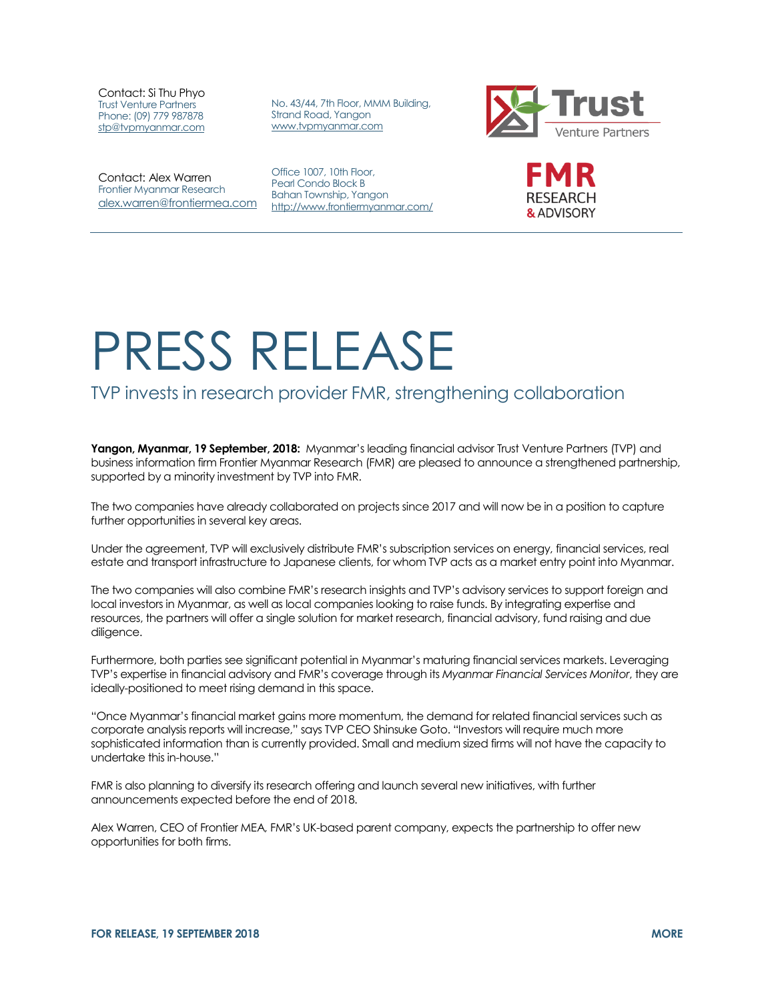Contact: Si Thu Phyo Trust Venture Partners Phone: (09) 779 987878 [stp@tvpmyanmar.com](mailto:stp@tvpmyanmar.com)

No. 43/44, 7th Floor, MMM Building, Strand Road, Yangon [www.tvpmyanmar.com](http://www.tvpmyanmar.com/)



Contact: Alex Warren Frontier Myanmar Research [alex.warren@frontiermea.com](mailto:alex.warren@frontiermea.com)

Office 1007, 10th Floor, Pearl Condo Block B Bahan Township, Yangon <http://www.frontiermyanmar.com/>



## PRESS RELEASE

## TVP invests in research provider FMR, strengthening collaboration

**Yangon, Myanmar, 19 September, 2018:** Myanmar's leading financial advisor Trust Venture Partners (TVP) and business information firm Frontier Myanmar Research (FMR) are pleased to announce a strengthened partnership, supported by a minority investment by TVP into FMR.

The two companies have already collaborated on projects since 2017 and will now be in a position to capture further opportunities in several key areas.

Under the agreement, TVP will exclusively distribute FMR's subscription services on energy, financial services, real estate and transport infrastructure to Japanese clients, for whom TVP acts as a market entry point into Myanmar.

The two companies will also combine FMR's research insights and TVP's advisory services to support foreign and local investors in Myanmar, as well as local companies looking to raise funds. By integrating expertise and resources, the partners will offer a single solution for market research, financial advisory, fund raising and due diligence.

Furthermore, both parties see significant potential in Myanmar's maturing financial services markets. Leveraging TVP's expertise in financial advisory and FMR's coverage through its *Myanmar Financial Services Monitor*, they are ideally-positioned to meet rising demand in this space.

"Once Myanmar's financial market gains more momentum, the demand for related financial services such as corporate analysis reports will increase," says TVP CEO Shinsuke Goto. "Investors will require much more sophisticated information than is currently provided. Small and medium sized firms will not have the capacity to undertake this in-house."

FMR is also planning to diversify its research offering and launch several new initiatives, with further announcements expected before the end of 2018.

Alex Warren, CEO of Frontier MEA, FMR's UK-based parent company, expects the partnership to offer new opportunities for both firms.